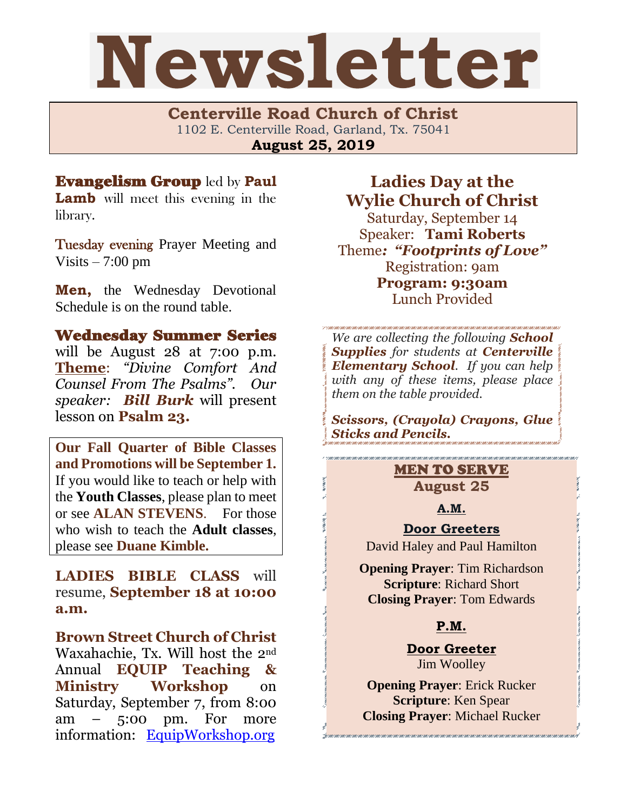# Newsletter

**Centerville Road Church of Christ**  1102 E. Centerville Road, Garland, Tx. 75041 **August 25, 2019**

# Evangelism Group led by **Paul**

**Lamb** will meet this evening in the library.

Tuesday evening Prayer Meeting and Visits  $-7:00$  pm

**Men,** the Wednesday Devotional Schedule is on the round table.

# Wednesday Summer Series

will be August 28 at 7:00 p.m. **Theme**: *"Divine Comfort And Counsel From The Psalms". Our speaker: Bill Burk* will present lesson on **Psalm 23.**

**Our Fall Quarter of Bible Classes and Promotions will be September 1.** If you would like to teach or help with the **Youth Classes**, please plan to meet or see **ALAN STEVENS**. For those who wish to teach the **Adult classes**, please see **Duane Kimble.**

# **LADIES BIBLE CLASS** will resume, **September 18 at 10:00 a.m.**

**Brown Street Church of Christ** Waxahachie, Tx. Will host the 2nd Annual **EQUIP Teaching & Ministry Workshop** on Saturday, September 7, from 8:00 am – 5:00 pm. For more information: [EquipWorkshop.org](file:///C:/Users/ijund/Documents/Documents/Newsletter/Newsletter%202019/August/August%2018%202019.docx)

**Ladies Day at the Wylie Church of Christ** Saturday, September 14 Speaker: **Tami Roberts** Theme*: "Footprints of Love"* Registration: 9am **Program: 9:30am**  Lunch Provided

*We are collecting the following School Supplies for students at Centerville Elementary School. If you can help with any of these items, please place them on the table provided.* 

*Scissors, (Crayola) Crayons, Glue Sticks and Pencils.*

# MEN TO SERVE **August 25**

**A.M.**

## **Door Greeters**

David Haley and Paul Hamilton

**Opening Prayer**: Tim Richardson **Scripture**: Richard Short **Closing Prayer**: Tom Edwards

# **P.M.**

**Door Greeter** Jim Woolley

**Opening Prayer**: Erick Rucker **Scripture**: Ken Spear **Closing Prayer**: Michael Rucker